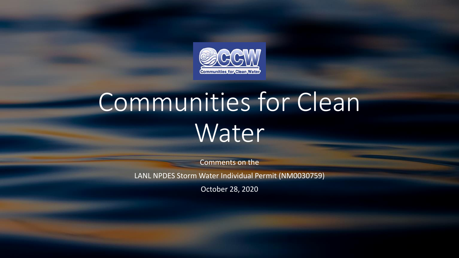

# Communities for Clean Water

Comments on the

LANL NPDES Storm Water Individual Permit (NM0030759)

October 28, 2020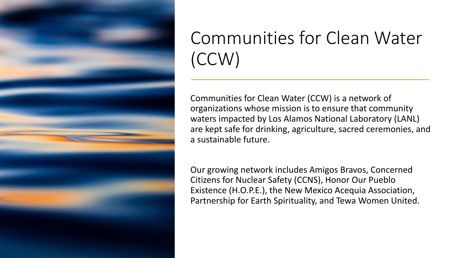

## Communities for Clean Water (CCW)

Communities for Clean Water (CCW) is a network of organizations whose mission is to ensure that community waters impacted by Los Alamos National Laboratory (LANL) are kept safe for drinking, agriculture, sacred ceremonies, and a sustainable future.

Our growing network includes Amigos Bravos, Concerned Citizens for Nuclear Safety (CCNS), Honor Our Pueblo Existence (H.O.P.E.), the New Mexico Acequia Association, Partnership for Earth Spirituality, and Tewa Women United.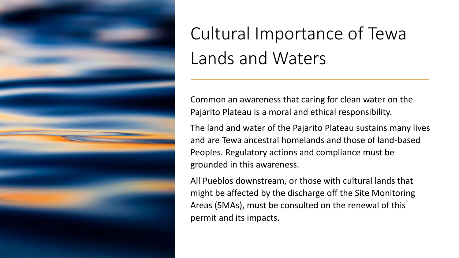

# Cultural Importance of Tewa Lands and Waters

Common an awareness that caring for clean water on the Pajarito Plateau is a moral and ethical responsibility.

The land and water of the Pajarito Plateau sustains many lives and are Tewa ancestral homelands and those of land-based Peoples. Regulatory actions and compliance must be grounded in this awareness.

All Pueblos downstream, or those with cultural lands that might be affected by the discharge off the Site Monitoring Areas (SMAs), must be consulted on the renewal of this permit and its impacts.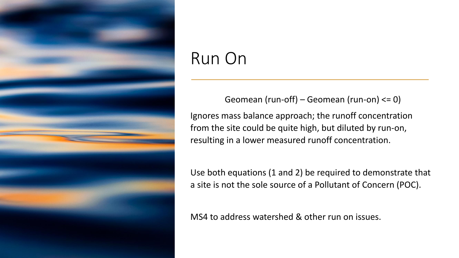

### Run On

Geomean (run-off) – Geomean (run-on) <= 0) Ignores mass balance approach; the runoff concentration from the site could be quite high, but diluted by run-on, resulting in a lower measured runoff concentration.

Use both equations (1 and 2) be required to demonstrate that a site is not the sole source of a Pollutant of Concern (POC).

MS4 to address watershed & other run on issues.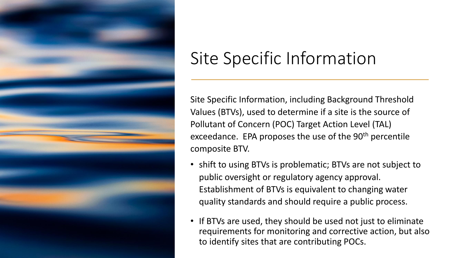

### Site Specific Information

Site Specific Information, including Background Threshold Values (BTVs), used to determine if a site is the source of Pollutant of Concern (POC) Target Action Level (TAL) exceedance. EPA proposes the use of the 90<sup>th</sup> percentile composite BTV.

- shift to using BTVs is problematic; BTVs are not subject to public oversight or regulatory agency approval. Establishment of BTVs is equivalent to changing water quality standards and should require a public process.
- If BTVs are used, they should be used not just to eliminate requirements for monitoring and corrective action, but also to identify sites that are contributing POCs.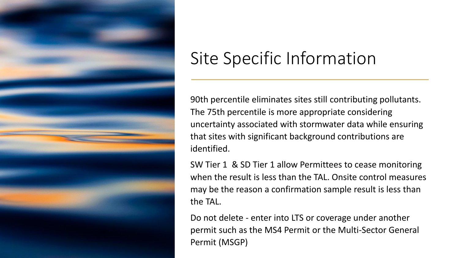

### Site Specific Information

90th percentile eliminates sites still contributing pollutants. The 75th percentile is more appropriate considering uncertainty associated with stormwater data while ensuring that sites with significant background contributions are identified.

SW Tier 1 & SD Tier 1 allow Permittees to cease monitoring when the result is less than the TAL. Onsite control measures may be the reason a confirmation sample result is less than the TAL.

Do not delete - enter into LTS or coverage under another permit such as the MS4 Permit or the Multi-Sector General Permit (MSGP)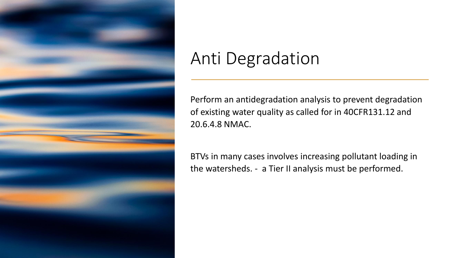

#### Anti Degradation

Perform an antidegradation analysis to prevent degradation of existing water quality as called for in 40CFR131.12 and 20.6.4.8 NMAC.

BTVs in many cases involves increasing pollutant loading in the watersheds. - a Tier II analysis must be performed.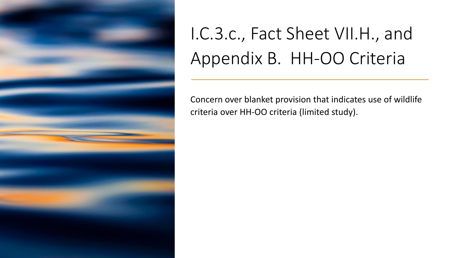

## I.C.3.c., Fact Sheet VII.H., and Appendix B. HH-OO Criteria

Concern over blanket provision that indicates use of wildlife criteria over HH-OO criteria (limited study).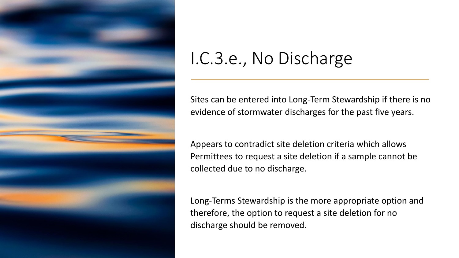

#### I.C.3.e., No Discharge

Sites can be entered into Long-Term Stewardship if there is no evidence of stormwater discharges for the past five years.

Appears to contradict site deletion criteria which allows Permittees to request a site deletion if a sample cannot be collected due to no discharge.

Long-Terms Stewardship is the more appropriate option and therefore, the option to request a site deletion for no discharge should be removed.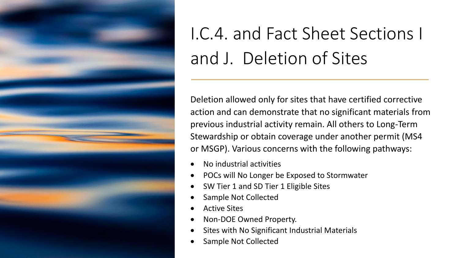

# I.C.4. and Fact Sheet Sections I and J. Deletion of Sites

Deletion allowed only for sites that have certified corrective action and can demonstrate that no significant materials from previous industrial activity remain. All others to Long-Term Stewardship or obtain coverage under another permit (MS4 or MSGP). Various concerns with the following pathways:

- No industrial activities
- POCs will No Longer be Exposed to Stormwater
- SW Tier 1 and SD Tier 1 Eligible Sites
- Sample Not Collected
- Active Sites
- Non-DOE Owned Property.
- Sites with No Significant Industrial Materials
- Sample Not Collected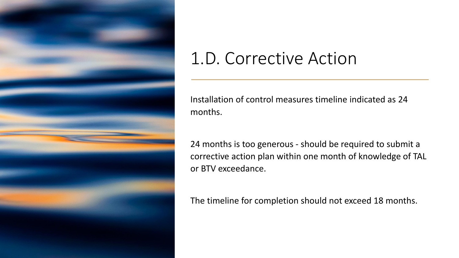

#### 1.D. Corrective Action

Installation of control measures timeline indicated as 24 months.

24 months is too generous - should be required to submit a corrective action plan within one month of knowledge of TAL or BTV exceedance.

The timeline for completion should not exceed 18 months.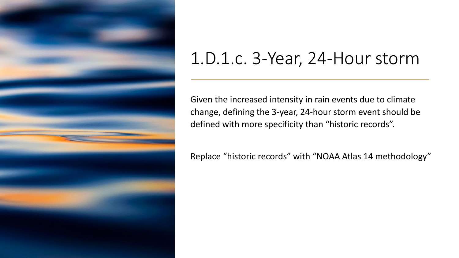

#### 1.D.1.c. 3-Year, 24-Hour storm

Given the increased intensity in rain events due to climate change, defining the 3-year, 24-hour storm event should be defined with more specificity than "historic records".

Replace "historic records" with "NOAA Atlas 14 methodology"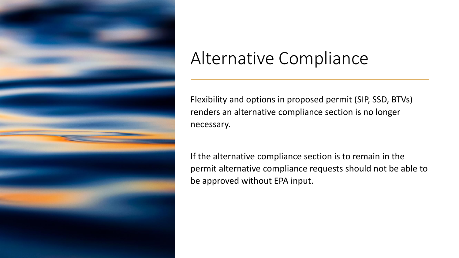

### Alternative Compliance

Flexibility and options in proposed permit (SIP, SSD, BTVs) renders an alternative compliance section is no longer necessary.

If the alternative compliance section is to remain in the permit alternative compliance requests should not be able to be approved without EPA input.